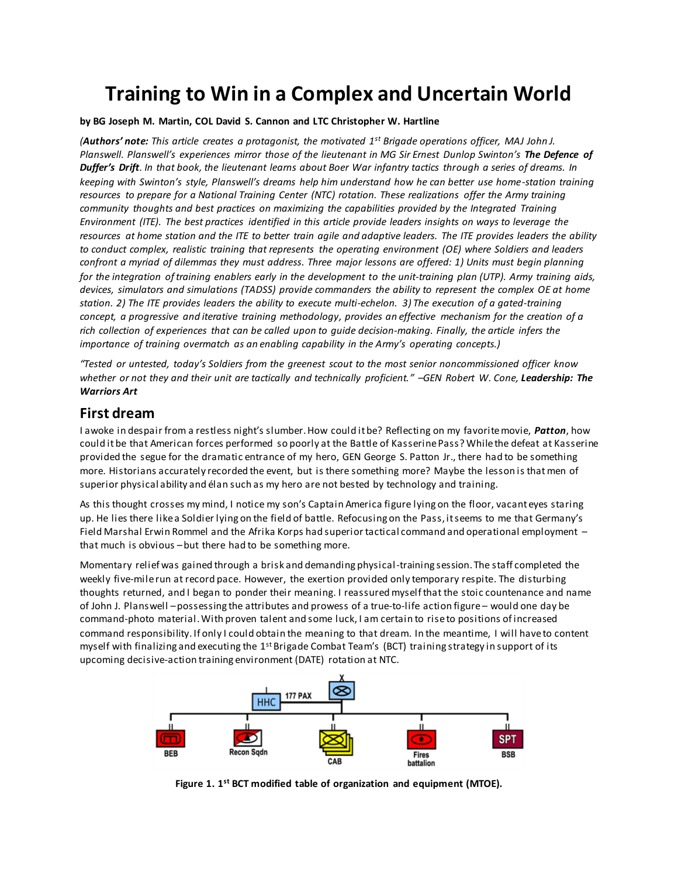# **Training to Win in a Complex and Uncertain World**

#### **by BG Joseph M. Martin, COL David S. Cannon and LTC Christopher W. Hartline**

*(Authors' note: This article creates a protagonist, the motivated 1 st Brigade operations officer, MAJ John J. Planswell. Planswell's experiences mirror those of the lieutenant in MG Sir Ernest Dunlop Swinton's The Defence of Duffer's Drift. In that book, the lieutenant learns about Boer War infantry tactics through a series of dreams. In keeping with Swinton's style, Planswell's dreams help him understand how he can better use home-station training resources to prepare for a National Training Center (NTC) rotation. These realizations offer the Army training community thoughts and best practices on maximizing the capabilities provided by the Integrated Training Environment (ITE). The best practices identified in this article provide leaders insights on ways to leverage the resources at home station and the ITE to better train agile and adaptive leaders. The ITE provides leaders the ability to conduct complex, realistic training that represents the operating environment (OE) where Soldiers and leaders confront a myriad of dilemmas they must address. Three major lessons are offered: 1) Units must begin planning for the integration of training enablers early in the development to the unit-training plan (UTP). Army training aids, devices, simulators and simulations (TADSS) provide commanders the ability to represent the complex OE at home station. 2) The ITE provides leaders the ability to execute multi-echelon. 3) The execution of a gated-training concept, a progressive and iterative training methodology, provides an effective mechanism for the creation of a rich collection of experiences that can be called upon to guide decision-making. Finally, the article infers the importance of training overmatch as an enabling capability in the Army's operating concepts.)*

*"Tested or untested, today's Soldiers from the greenest scout to the most senior noncommissioned officer know whether or not they and their unit are tactically and technically proficient." –GEN Robert W. Cone, Leadership: The Warriors Art*

### **First dream**

I awoke in despair from a restless night's slumber. How could it be? Reflecting on my favorite movie, *Patton*, how could it be that American forces performed so poorly at the Battle of Kasserine Pass? While the defeat at Kasserine provided the segue for the dramatic entrance of my hero, GEN George S. Patton Jr., there had to be something more. Historians accurately recorded the event, but is there something more? Maybe the lesson is thatmen of superior physical ability and élan such as my hero are not bested by technology and training.

As this thought crosses my mind, I notice my son's Captain America figure lying on the floor, vacant eyes staring up. He lies there like a Soldier lying on the field of battle. Refocusing on the Pass, it seems to me that Germany's Field Marshal Erwin Rommel and the Afrika Korps had superior tactical command and operational employment – that much is obvious –but there had to be something more.

Momentary relief was gained through a brisk and demanding physical-training session. The staff completed the weekly five-milerun at record pace. However, the exertion provided only temporary respite. The disturbing thoughts returned, and I began to ponder their meaning. I reassured myself that the stoic countenance and name of John J. Planswell –possessing the attributes and prowess of a true-to-life action figure – would one day be command-photo material. With proven talent and some luck, I am certain to rise to positions of increased command responsibility. If only I could obtain the meaning to that dream. In the meantime, I will haveto content myself with finalizing and executing the 1<sup>st</sup> Brigade Combat Team's (BCT) training strategy in support of its upcoming decisive-action training environment (DATE) rotation at NTC.



**Figure 1. 1 st BCT modified table of organization and equipment (MTOE).**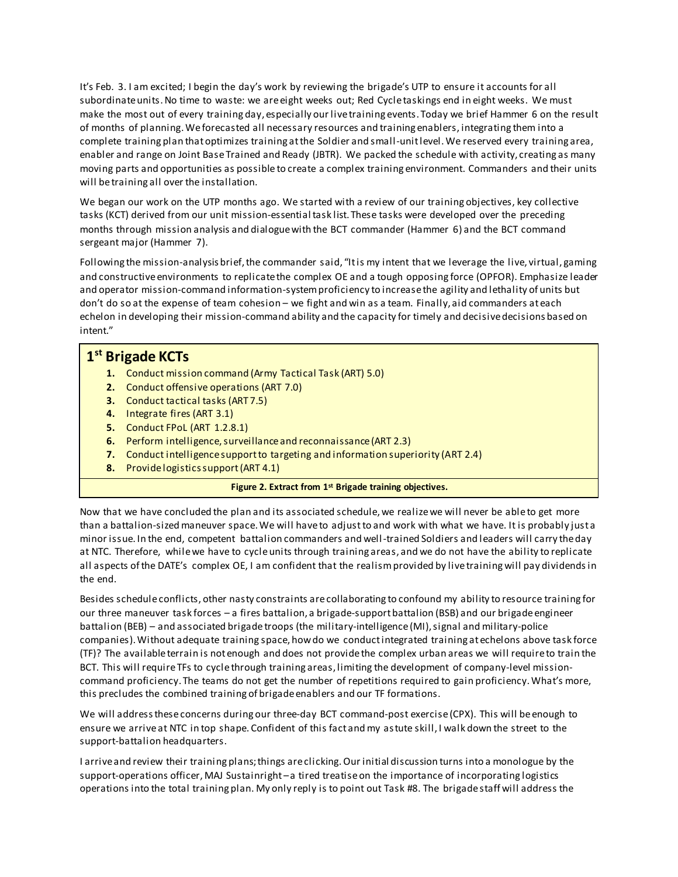It's Feb. 3. I am excited; I begin the day's work by reviewing the brigade's UTP to ensure it accounts for all subordinate units. No time to waste: we are eight weeks out; Red Cycle taskings end in eight weeks. We must make the most out of every training day, especially our live training events. Today we brief Hammer 6 on the result of months of planning.We forecasted all necessary resources and training enablers, integrating them into a complete training plan that optimizes training at the Soldier and small-unit level. We reserved every training area, enabler and range on Joint Base Trained and Ready (JBTR). We packed the schedule with activity, creating as many moving parts and opportunities as possible to create a complex training environment. Commanders and their units will be training all over the installation.

We began our work on the UTP months ago. We started with a review of our training objectives, key collective tasks (KCT) derived from our unit mission-essential task list. These tasks were developed over the preceding months through mission analysis and dialogue with the BCT commander (Hammer 6) and the BCT command sergeant major (Hammer 7).

Following the mission-analysis brief, the commander said, "It is my intent that we leverage the live, virtual, gaming and constructive environments to replicate the complex OE and a tough opposing force (OPFOR). Emphasize leader and operator mission-command information-system proficiency to increase the agility and lethality of units but don't do so at the expense of team cohesion – we fight and win as a team. Finally, aid commanders at each echelon in developing their mission-command ability and the capacity for timely and decisive decisions based on intent."

# **1 st Brigade KCTs**

- **1.** Conduct mission command (Army Tactical Task (ART) 5.0)
- **2.** Conduct offensive operations (ART 7.0)
- **3.** Conduct tactical tasks (ART 7.5)
- **4.** Integrate fires (ART 3.1)
- **5.** Conduct FPoL (ART 1.2.8.1)
- **6.** Perform intelligence, surveillance and reconnaissance (ART 2.3)
- **7.** Conduct intelligence support to targeting and information superiority (ART 2.4)
- **8.** Provide logistics support (ART 4.1)

#### **Figure 2. Extract from 1st Brigade training objectives.**

Now that we have concluded the plan and its associated schedule, we realizewe will never be able to get more than a battalion-sized maneuver space. We will have to adjust to and work with what we have. It is probably just a minor issue. In the end, competent battalion commanders and well-trained Soldiers and leaders will carry the day at NTC. Therefore, while we have to cycle units through training areas, and we do not have the ability to replicate all aspects of the DATE's complex OE, I am confident that the realism provided by live training will pay dividendsin the end.

Besides schedule conflicts, other nasty constraints are collaborating to confound my ability to resource training for our three maneuver task forces – a fires battalion, a brigade-support battalion (BSB) and our brigade engineer battalion (BEB) – and associated brigade troops (the military-intelligence (MI), signal and military-police companies).Without adequate training space, how do we conduct integrated training at echelons above task force (TF)? The available terrain is not enough and does not provide the complex urban areas we will require to train the BCT. This will requireTFs to cycle through training areas, limiting the development of company-level missioncommand proficiency. The teams do not get the number of repetitions required to gain proficiency. What's more, this precludes the combined training of brigade enablers and our TF formations.

We will address these concerns during our three-day BCT command-post exercise (CPX). This will be enough to ensure we arrive at NTC in top shape. Confident of this fact and my astute skill, I walk down the street to the support-battalion headquarters.

I arrive and review their training plans; things are clicking. Our initial discussion turns into a monologue by the support-operations officer, MAJ Sustainright – a tired treatise on the importance of incorporating logistics operations into the total training plan. My only reply is to point out Task #8. The brigade staff will address the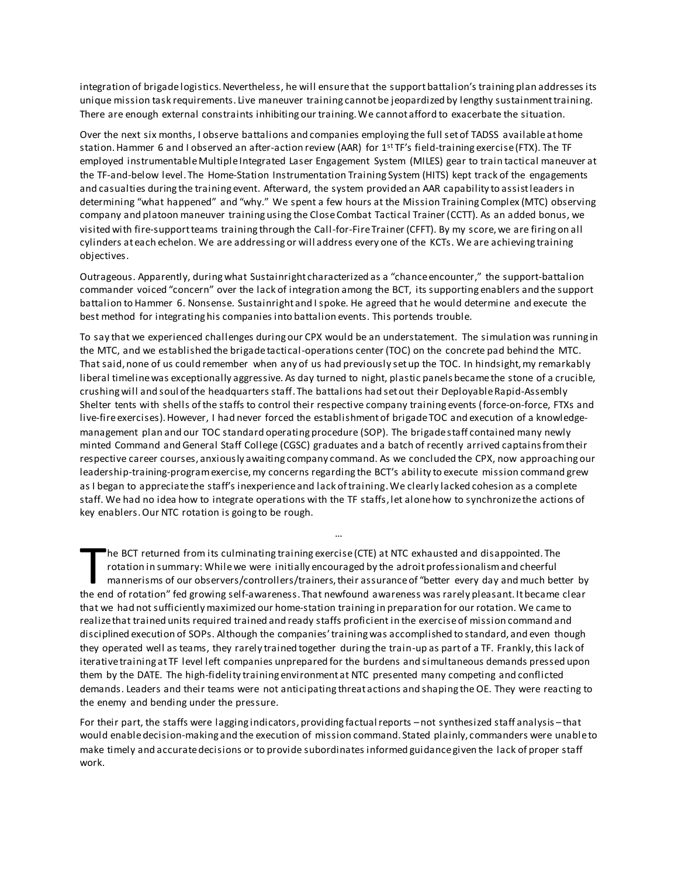integration of brigade logistics.Nevertheless, he will ensure that the support battalion's training plan addresses its unique mission task requirements. Live maneuver training cannot be jeopardized by lengthy sustainment training. There are enough external constraints inhibiting our training. We cannot afford to exacerbate the situation.

Over the next six months, I observe battalions and companies employing the full set of TADSS available at home station. Hammer 6 and I observed an after-action review (AAR) for  $1<sup>st</sup>TF's field-training exercise (FTX)$ . The TF employed instrumentable Multiple Integrated Laser Engagement System (MILES) gear to train tactical maneuver at the TF-and-below level. The Home-Station Instrumentation Training System (HITS) kept track of the engagements and casualties during the training event. Afterward, the system provided an AAR capability to assist leaders in determining "what happened" and "why." We spent a few hours at the Mission Training Complex (MTC) observing company and platoon maneuver training using the Close Combat Tactical Trainer (CCTT). As an added bonus, we visited with fire-support teams training through the Call-for-Fire Trainer (CFFT). By my score,we are firing on all cylinders at each echelon. We are addressing or will address every one of the KCTs. We are achieving training objectives.

Outrageous. Apparently, during what Sustainright characterized as a "chance encounter," the support-battalion commander voiced "concern" over the lack of integration among the BCT, its supporting enablers and the support battalion to Hammer 6. Nonsense. Sustainright and I spoke. He agreed that he would determine and execute the best method for integrating his companies into battalion events. This portends trouble.

To say that we experienced challenges during our CPX would be an understatement. The simulation was running in the MTC, and we established the brigade tactical-operations center (TOC) on the concrete pad behind the MTC. That said, none of us could remember when any of us had previously set up the TOC. In hindsight, my remarkably liberal timeline was exceptionally aggressive. As day turned to night, plastic panels became the stone of a crucible, crushing will and soul of the headquarters staff. The battalions had set out their Deployable Rapid-Assembly Shelter tents with shells of the staffs to control their respective company training events (force-on-force, FTXs and live-fire exercises). However, I had never forced the establishment of brigade TOC and execution of a knowledgemanagement plan and our TOC standard operating procedure (SOP). The brigade staff contained many newly minted Command and General Staff College (CGSC) graduates and a batch of recently arrived captains from their respective career courses, anxiously awaiting company command. As we concluded the CPX, now approaching our leadership-training-program exercise, my concerns regarding the BCT's ability to execute mission command grew as I began to appreciate the staff's inexperience and lack of training. We clearly lacked cohesion as a complete staff. We had no idea how to integrate operations with the TF staffs, let alone how to synchronize the actions of key enablers. Our NTC rotation is going to be rough.

he BCT returned from its culminating training exercise (CTE) at NTC exhausted and disappointed. The rotation in summary: While we were initially encouraged by the adroit professionalism and cheerful mannerisms of our observers/controllers/trainers, their assurance of "better every day and much better by The BCT returned from its culminating training exercise (CTE) at NTC exhausted and disappointed. The rotation in summary: While we were initially encouraged by the adroit professionalism and cheerful mannerisms of our obse that we had not sufficiently maximized our home-station training in preparation for our rotation. We came to realize that trained units required trained and ready staffs proficient in the exerciseof mission command and disciplined execution of SOPs. Although the companies' training was accomplished to standard, and even though they operated well as teams, they rarely trained together during the train-up as part of a TF. Frankly, this lack of iterative training at TF level left companies unprepared for the burdens and simultaneous demands pressed upon them by the DATE. The high-fidelity training environment at NTC presented many competing and conflicted demands. Leaders and their teams were not anticipating threat actions and shaping the OE. They were reacting to the enemy and bending under the pressure.

…

For their part, the staffs were lagging indicators, providing factual reports –not synthesized staff analysis –that would enable decision-making and the execution of mission command. Stated plainly, commanders were unable to make timely and accurate decisions or to provide subordinates informed guidance given the lack of proper staff work.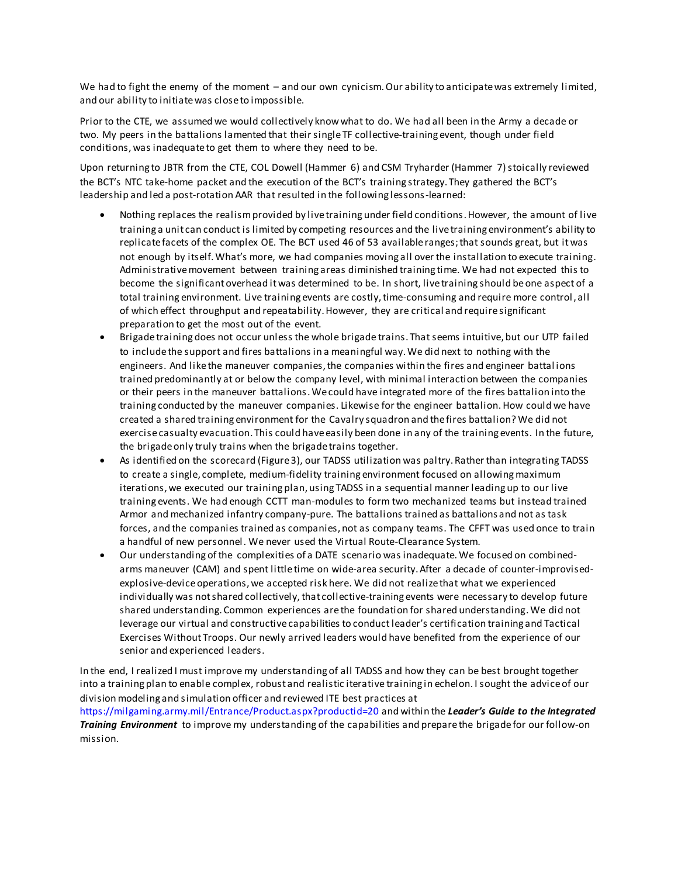We had to fight the enemy of the moment – and our own cynicism. Our ability to anticipate was extremely limited, and our ability to initiate was close to impossible.

Prior to the CTE, we assumed we would collectively know what to do. We had all been in the Army a decade or two. My peers in the battalions lamented that their single TF collective-training event, though under field conditions, was inadequate to get them to where they need to be.

Upon returning to JBTR from the CTE, COL Dowell (Hammer 6) and CSM Tryharder (Hammer 7)stoically reviewed the BCT's NTC take-home packet and the execution of the BCT's training strategy. They gathered the BCT's leadership and led a post-rotation AAR that resulted in the following lessons-learned:

- Nothing replaces the realism provided by live training under field conditions.However, the amount of live training a unit can conduct is limited by competing resources and the live training environment's ability to replicate facets of the complex OE. The BCT used 46 of 53 available ranges;that sounds great, but it was not enough by itself. What's more, we had companies moving all over the installation to execute training. Administrative movement between training areas diminished training time. We had not expected this to become the significant overhead it was determined to be. In short, live training should be one aspect of a total training environment. Live training events are costly, time-consuming and require more control, all of which effect throughput and repeatability. However, they are critical and require significant preparation to get the most out of the event.
- Brigadetraining does not occur unless the whole brigade trains. That seems intuitive, but our UTP failed to include the support and fires battalions in a meaningful way. We did next to nothing with the engineers. And like the maneuver companies, the companies within the fires and engineer battal ions trained predominantly at or below the company level, with minimal interaction between the companies or their peers in the maneuver battalions. We could have integrated more of the fires battalion into the training conducted by the maneuver companies. Likewise for the engineer battalion. How could we have created a shared training environment for the Cavalry squadron and the fires battalion? We did not exercise casualty evacuation. This could have easily been done in any of the training events. In the future, the brigade only truly trains when the brigade trains together.
- As identified on the scorecard (Figure 3), our TADSS utilization was paltry. Rather than integrating TADSS to create a single, complete, medium-fidelity training environment focused on allowing maximum iterations, we executed our training plan, using TADSS in a sequential manner leading up to our live training events. We had enough CCTT man-modules to form two mechanized teams but instead trained Armor and mechanized infantry company-pure. The battalions trained as battalions and not as task forces, and the companies trained as companies, not as company teams. The CFFT was used once to train a handful of new personnel. We never used the Virtual Route-Clearance System.
- Our understanding of the complexities of a DATE scenario was inadequate. We focused on combinedarms maneuver (CAM) and spent little time on wide-area security. After a decade of counter-improvisedexplosive-deviceoperations, we accepted risk here. We did not realize that what we experienced individually was not shared collectively, that collective-training events were necessary to develop future shared understanding. Common experiences are the foundation for shared understanding. We did not leverage our virtual and constructive capabilities to conduct leader's certification training and Tactical Exercises Without Troops. Our newly arrived leaders would have benefited from the experience of our senior and experienced leaders.

In the end, I realized I must improve my understanding of all TADSS and how they can be best brought together into a training plan to enable complex, robust and realistic iterative training in echelon. I sought the advice of our division modeling and simulation officer and reviewed ITE best practices at

https://milgaming.army.mil/Entrance/Product.aspx?productid=20 and within the *Leader's Guide to the Integrated Training Environment* to improve my understanding of the capabilities and prepare the brigade for our follow-on mission.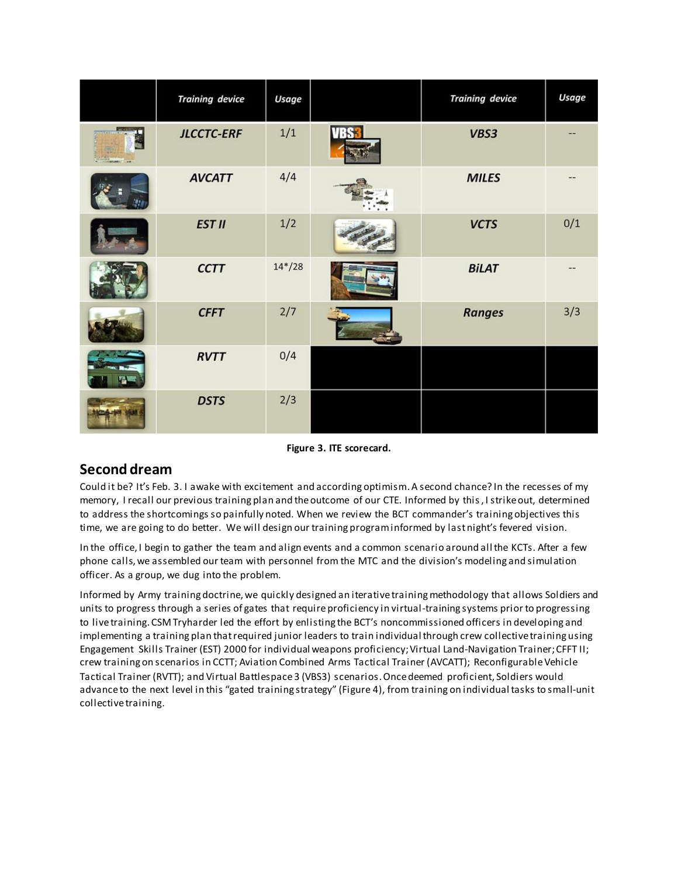|                 | <b>Training device</b> | Usage    |      | <b>Training device</b> | Usage |
|-----------------|------------------------|----------|------|------------------------|-------|
| <b>Williams</b> | <b>JLCCTC-ERF</b>      | 1/1      | VBS3 | VBS3                   |       |
|                 | <b>AVCATT</b>          | 4/4      |      | <b>MILES</b>           |       |
|                 | <b>EST II</b>          | 1/2      |      | <b>VCTS</b>            | 0/1   |
|                 | <b>CCTT</b>            | $14*/28$ |      | <b>BiLAT</b>           |       |
|                 | <b>CFFT</b>            | 2/7      |      | <b>Ranges</b>          | 3/3   |
|                 | <b>RVTT</b>            | 0/4      |      |                        |       |
|                 | <b>DSTS</b>            | 2/3      |      |                        |       |

**Figure 3. ITE scorecard.**

## **Second dream**

Could it be? It's Feb. 3. I awake with excitement and according optimism. A second chance? In the recesses of my memory, I recall our previous training plan and the outcome of our CTE. Informed by this, I strike out, determined to address the shortcomings so painfully noted. When we review the BCT commander's training objectives this time, we are going to do better. We will design our training programinformed by last night's fevered vision.

In the office, I begin to gather the team and align events and a common scenario around all the KCTs. After a few phone calls,we assembled our team with personnel from the MTC and the division's modeling and simulation officer. As a group, we dug into the problem.

Informed by Army training doctrine, we quickly designed an iterative training methodology that allows Soldiers and units to progress through a series of gates that require proficiency in virtual-training systems prior to progressing to live training. CSM Tryharder led the effort by enlisting the BCT's noncommissioned officers in developing and implementing a training plan that required junior leaders to train individual through crew collective training using Engagement Skills Trainer (EST) 2000 for individual weapons proficiency;Virtual Land-Navigation Trainer;CFFT II; crew training on scenarios in CCTT; Aviation Combined Arms Tactical Trainer (AVCATT); Reconfigurable Vehicle Tactical Trainer (RVTT); and Virtual Battlespace 3 (VBS3) scenarios. Once deemed proficient, Soldiers would advance to the next level in this "gated training strategy" (Figure 4), from training on individual tasks to small-unit collective training.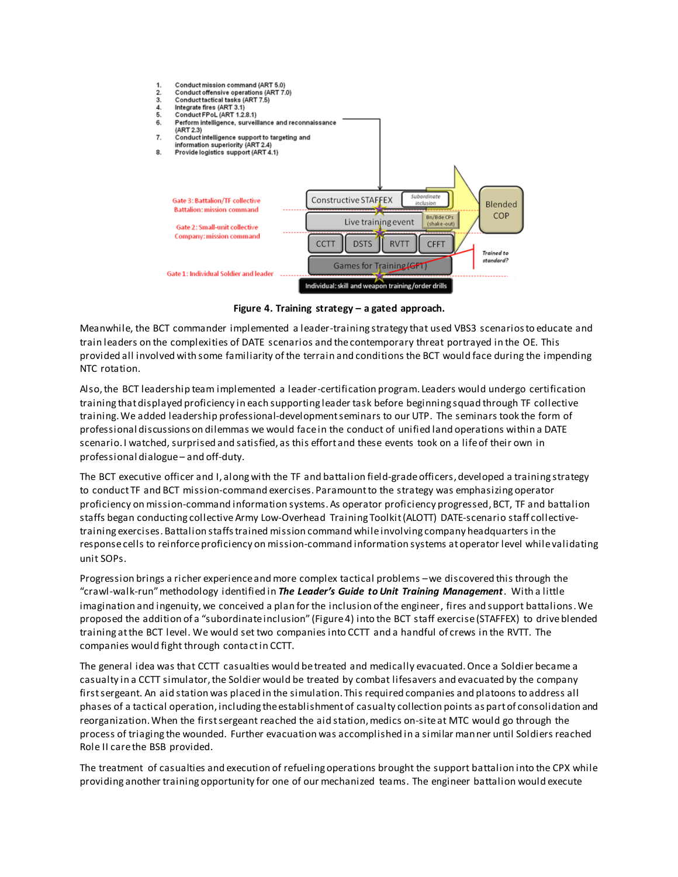

**Figure 4. Training strategy – a gated approach.**

Meanwhile, the BCT commander implemented a leader-training strategy that used VBS3 scenarios to educate and train leaders on the complexities of DATE scenarios and the contemporary threat portrayed in the OE. This provided all involved with some familiarity ofthe terrain and conditions the BCT would face during the impending NTC rotation.

Also, the BCT leadership team implemented a leader-certification program. Leaders would undergo certification training that displayed proficiency in each supporting leader task before beginning squad through TF collective training. We added leadership professional-development seminars to our UTP. The seminars took the form of professional discussions on dilemmas we would face in the conduct of unified land operations within a DATE scenario. I watched, surprised and satisfied, as this effort and these events took on a life of their own in professional dialogue – and off-duty.

The BCT executive officer and I, along with the TF and battalion field-grade officers, developed a training strategy to conduct TF and BCT mission-command exercises. Paramount to the strategy was emphasizing operator proficiency on mission-command information systems. As operator proficiency progressed, BCT, TF and battalion staffs began conducting collective Army Low-Overhead Training Toolkit (ALOTT) DATE-scenario staff collectivetraining exercises. Battalion staffs trained mission command while involving company headquarters in the response cells to reinforce proficiency on mission-command information systems at operator level while validating unit SOPs.

Progression brings a richer experience and more complex tactical problems –we discovered this through the "crawl-walk-run" methodology identified in *The Leader's Guide to Unit Training Management*. With a little imagination and ingenuity, we conceived a plan for the inclusion of the engineer, fires and support battalions. We proposed the addition of a "subordinate inclusion" (Figure 4) into the BCT staff exercise (STAFFEX) to drive blended training at the BCT level. We would set two companies into CCTT and a handful of crews in the RVTT. The companies would fight through contact in CCTT.

The general idea was that CCTT casualties would be treated and medically evacuated. Once a Soldier became a casualty in a CCTT simulator,the Soldier would be treated by combat lifesavers and evacuated by the company first sergeant. An aid station was placed in the simulation. This required companies and platoons to address all phases of a tactical operation, including the establishment of casualty collection points as part of consolidation and reorganization. When the first sergeant reached the aid station, medics on-site at MTC would go through the process of triaging the wounded. Further evacuation was accomplished in a similar manner until Soldiers reached Role II care the BSB provided.

The treatment of casualties and execution of refueling operations brought the support battalion into the CPX while providing another training opportunity for one of our mechanized teams. The engineer battalion would execute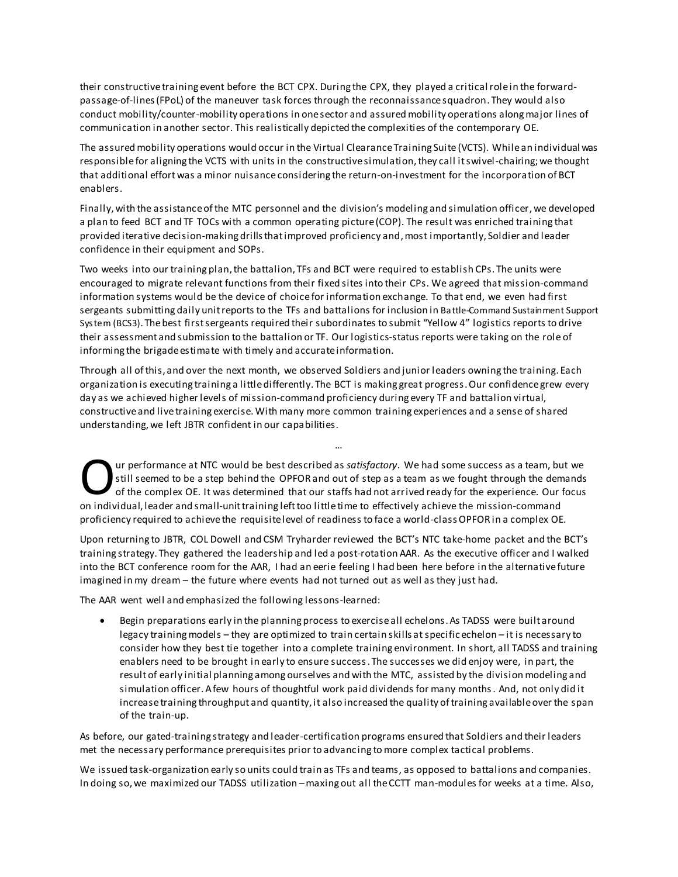their constructive training event before the BCT CPX. During the CPX, they played a criticalrole in the forwardpassage-of-lines(FPoL) of the maneuver task forces through the reconnaissance squadron. They would also conduct mobility/counter-mobility operations in one sector and assured mobility operations along major lines of communication in another sector. This realistically depicted the complexities of the contemporary OE.

The assured mobility operations would occur in the Virtual Clearance Training Suite (VCTS). While an individual was responsible for aligning the VCTS with units in the constructive simulation, they call it swivel-chairing;we thought that additional effort was a minor nuisance considering the return-on-investment for the incorporation of BCT enablers.

Finally, with the assistance of the MTC personnel and the division's modeling and simulation officer, we developed a plan to feed BCT and TF TOCs with a common operating picture (COP). The result was enriched training that provided iterative decision-making drills that improved proficiency and,most importantly, Soldier and leader confidence in their equipment and SOPs.

Two weeks into our training plan, the battalion, TFs and BCT were required to establish CPs. The units were encouraged to migrate relevant functions from their fixed sites into their CPs. We agreed that mission-command information systems would be the device of choice for information exchange. To that end, we even had first sergeants submitting daily unit reports to the TFs and battalions for inclusion in Battle-Command Sustainment Support System (BCS3). The best first sergeants required their subordinates to submit "Yellow 4" logistics reports to drive their assessment and submission to the battalion or TF. Our logistics-status reports were taking on the role of informing the brigade estimate with timely and accurate information.

Through all of this, and over the next month, we observed Soldiers and junior leaders owning the training. Each organization is executing training a little differently. The BCT is making great progress. Our confidence grew every day as we achieved higher levels of mission-command proficiency during every TF and battalion virtual, constructive and live training exercise. With many more common training experiences and a sense of shared understanding, we left JBTR confident in our capabilities.

…

ur performance at NTC would be best described as *satisfactory*. We had some success as a team, but we still seemed to be a step behind the OPFOR and out of step as a team as we fought through the demands of the complex OE. It was determined that our staffs had not arrived ready for the experience. Our focus Our performance at NTC would be best described as *satisfactory*. We had some success as a team, butill seemed to be a step behind the OPFOR and out of step as a team as we fought through the dem of the complex OE. It was proficiency required to achieve the requisite level of readiness to face a world-class OPFOR in a complex OE.

Upon returning to JBTR, COL Dowell and CSM Tryharder reviewed the BCT's NTC take-home packet and the BCT's training strategy. They gathered the leadership and led a post-rotation AAR. As the executive officer and I walked into the BCT conference room for the AAR, I had an eerie feeling I had been here before in the alternative future imagined in my dream – the future where events had not turned out as well as they just had.

The AAR went well and emphasized the following lessons-learned:

 Begin preparations early in the planning process to exercise all echelons. As TADSS were built around legacy training models – they are optimized to train certain skills atspecificechelon – it is necessary to consider how they best tie together into a complete training environment. In short, all TADSS and training enablers need to be brought in early to ensure success. The successes we did enjoy were, in part, the result of early initial planning among ourselves and with the MTC, assisted by the division modeling and simulation officer. A few hours of thoughtful work paid dividends for many months. And, not only did it increase training throughput and quantity, it also increased the quality of training available over the span of the train-up.

As before, our gated-training strategy and leader-certification programs ensured that Soldiers and their leaders met the necessary performance prerequisites prior to advancing to more complex tactical problems.

We issued task-organization early so units could train as TFs and teams, as opposed to battalions and companies. In doing so,we maximized our TADSS utilization –maxing out all the CCTT man-modules for weeks at a time. Also,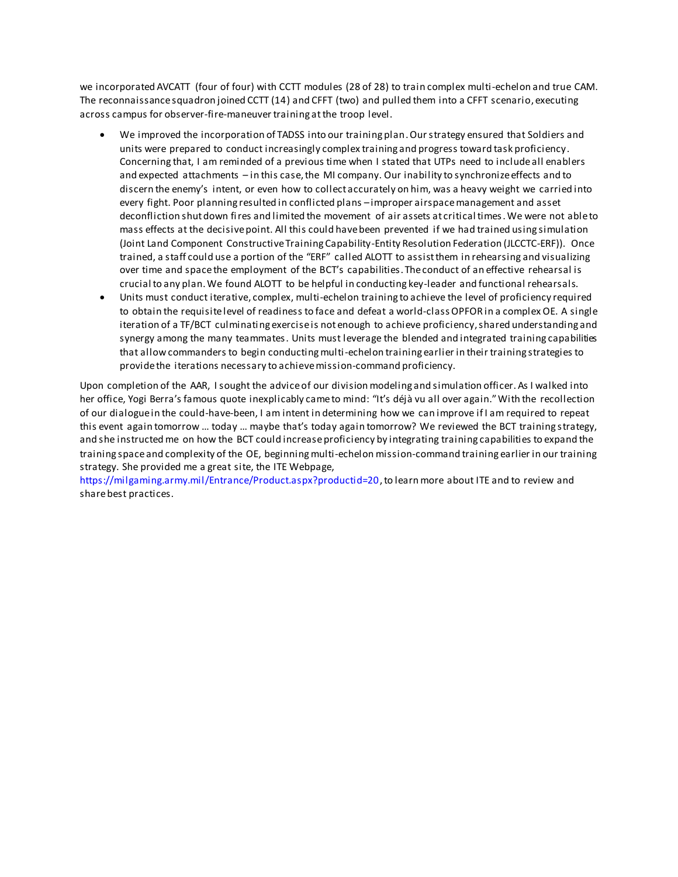we incorporated AVCATT (four of four) with CCTT modules (28 of 28) to train complex multi-echelon and true CAM. The reconnaissance squadron joined CCTT (14) and CFFT (two) and pulled them into a CFFT scenario, executing across campus for observer-fire-maneuver training at the troop level.

- We improved the incorporation of TADSS into our training plan. Our strategy ensured that Soldiers and units were prepared to conduct increasingly complex training and progress toward task proficiency. Concerning that, I am reminded of a previous time when I stated that UTPs need to include all enablers and expected attachments – in this case, the MI company. Our inability to synchronize effects and to discern the enemy's intent, or even how to collect accurately on him, was a heavy weight we carried into every fight. Poor planning resulted in conflicted plans –improper airspace management and asset deconfliction shut down fires and limited the movement of air assets at critical times. We were not able to mass effects at the decisive point. All this could have been prevented if we had trained using simulation (Joint Land Component Constructive Training Capability-Entity Resolution Federation (JLCCTC-ERF)). Once trained, a staff could use a portion of the "ERF" called ALOTT to assist them in rehearsing and visualizing over time and space the employment of the BCT's capabilities. The conduct of an effective rehearsal is crucial to any plan. We found ALOTT to be helpful in conducting key-leader and functional rehearsals.
- Units must conduct iterative, complex, multi-echelon training to achieve the level of proficiency required to obtain the requisite level of readiness to face and defeat a world-class OPFOR in a complex OE. A single iteration of a TF/BCT culminating exercise is not enough to achieve proficiency, shared understanding and synergy among the many teammates. Units must leverage the blended and integrated training capabilities that allow commanders to begin conducting multi-echelon training earlier in their training strategies to provide the iterations necessary to achieve mission-command proficiency.

Upon completion of the AAR, I sought the advice of our division modeling and simulation officer. As I walked into her office, Yogi Berra's famous quote inexplicably came to mind: "It's déjà vu all over again."With the recollection of our dialogue in the could-have-been, I am intent in determining how we can improve if I am required to repeat this event again tomorrow … today … maybe that's today again tomorrow? We reviewed the BCT training strategy, and she instructed me on how the BCT could increase proficiency by integrating training capabilities to expand the training space and complexity of the OE, beginningmulti-echelon mission-command training earlier in our training strategy. She provided me a great site, the ITE Webpage,

https://milgaming.army.mil/Entrance/Product.aspx?productid=20, to learn more about ITE and to review and share best practices.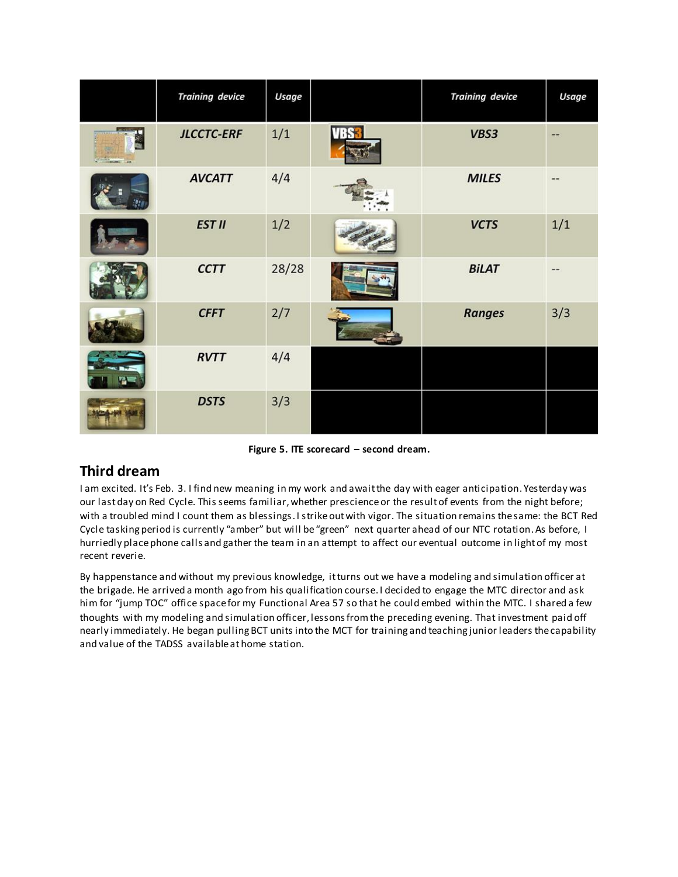|             | <b>Training device</b> | <b>Usage</b> |             | <b>Training device</b> | Usage |
|-------------|------------------------|--------------|-------------|------------------------|-------|
| Marian Land | <b>JLCCTC-ERF</b>      | 1/1          | <b>VBS3</b> | VBS3                   | --    |
|             | <b>AVCATT</b>          | 4/4          |             | <b>MILES</b>           | --    |
|             | <b>EST II</b>          | 1/2          |             | <b>VCTS</b>            | 1/1   |
|             | <b>CCTT</b>            | 28/28        |             | <b>BILAT</b>           |       |
|             | <b>CFFT</b>            | 2/7          |             | <b>Ranges</b>          | 3/3   |
|             | <b>RVTT</b>            | 4/4          |             |                        |       |
|             | <b>DSTS</b>            | 3/3          |             |                        |       |

**Figure 5. ITE scorecard – second dream.**

### **Third dream**

I am excited. It's Feb. 3. I find new meaning in my work and await the day with eager anticipation. Yesterday was our last day on Red Cycle. This seems familiar, whether prescience or the result of events from the night before; with a troubled mind I count them as blessings. I strike out with vigor. The situation remains the same: the BCT Red Cycle tasking period is currently "amber" but will be "green" next quarter ahead of our NTC rotation. As before, I hurriedly place phone calls and gather the team in an attempt to affect our eventual outcome in light of my most recent reverie.

By happenstance and without my previous knowledge, it turns out we have a modeling and simulation officer at the brigade. He arrived a month ago from his qualification course. I decided to engage the MTC director and ask him for "jump TOC" office space for my Functional Area 57 so that he could embed within the MTC. I shared a few thoughts with my modeling and simulation officer, lessons from the preceding evening. That investment paid off nearly immediately. He began pulling BCT units into the MCT for training and teaching junior leaders the capability and value of the TADSS available at home station.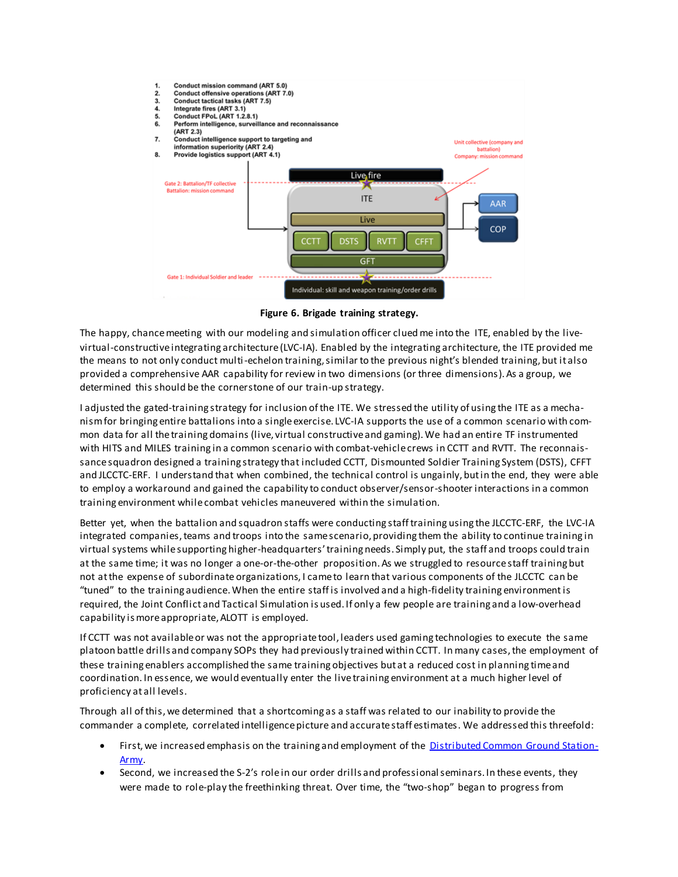

**Figure 6. Brigade training strategy.**

The happy, chance meeting with our modeling and simulation officer clued me into the ITE, enabled by the livevirtual-constructive integrating architecture (LVC-IA). Enabled by the integrating architecture, the ITE provided me the means to not only conduct multi-echelon training, similar to the previous night's blended training, but it also provided a comprehensive AAR capability for review in two dimensions (or three dimensions). As a group, we determined this should be the cornerstone of our train-up strategy.

I adjusted the gated-training strategy for inclusion of the ITE. We stressed the utility of using the ITE as a mechanism for bringing entire battalions into a single exercise. LVC-IA supports the use of a common scenario with common data for all the training domains (live, virtual constructive and gaming). We had an entire TF instrumented with HITS and MILES training in a common scenario with combat-vehicle crews in CCTT and RVTT. The reconnaissance squadron designed a training strategy that included CCTT, Dismounted Soldier Training System (DSTS), CFFT and JLCCTC-ERF. I understand that when combined, the technical control is ungainly, but in the end, they were able to employ a workaround and gained the capability to conduct observer/sensor-shooter interactions in a common training environment while combat vehicles maneuvered within the simulation.

Better yet, when the battalion and squadron staffs were conducting staff training using the JLCCTC-ERF, the LVC-IA integrated companies, teams and troops into the same scenario, providing them the ability to continue training in virtual systems while supporting higher-headquarters'training needs. Simply put, the staff and troops could train at the same time; it was no longer a one-or-the-other proposition. As we struggled to resource staff training but not at the expense of subordinate organizations, I came to learn that various components of the JLCCTC can be "tuned" to the training audience. When the entire staff is involved and a high-fidelity training environment is required, the Joint Conflict and Tactical Simulation is used. If only a few people are training and a low-overhead capability is more appropriate, ALOTT is employed.

If CCTT was not available or was not the appropriate tool, leaders used gaming technologies to execute the same platoon battle drills and company SOPs they had previously trained within CCTT. In many cases, the employment of these training enablers accomplished the same training objectives but at a reduced cost in planning time and coordination. In essence, we would eventually enter the live training environment at a much higher level of proficiency at all levels.

Through all of this,we determined that a shortcoming as a staff was related to our inability to provide the commander a complete, correlated intelligence picture and accurate staff estimates. We addressed this threefold:

- First, we increased emphasis on the training and employment of the [Distributed Common Ground Station-](http://www.benning.army.mil/armor/eARMOR/content/issues/2015/JAN_MAR/Edwards.html)[Army.](http://www.benning.army.mil/armor/eARMOR/content/issues/2015/JAN_MAR/Edwards.html)
- Second, we increased the S-2's role in our order drills and professional seminars. In these events, they were made to role-play the freethinking threat. Over time, the "two-shop" began to progress from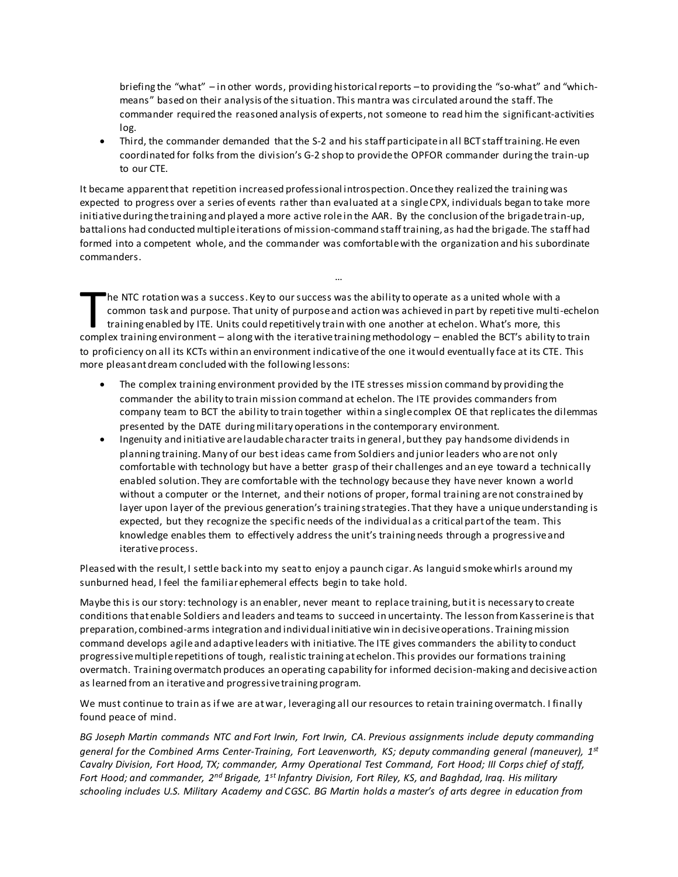briefing the "what" – in other words, providing historical reports –to providing the "so-what" and "whichmeans" based on their analysis of the situation. This mantra was circulated around the staff. The commander required the reasoned analysis of experts, not someone to read him the significant-activities log.

 Third, the commander demanded that the S-2 and his staff participatein all BCT staff training. He even coordinated for folks from the division's G-2 shop to provide the OPFOR commander during the train-up to our CTE.

It became apparent that repetition increased professional introspection. Once they realized the training was expected to progress over a series of events rather than evaluated at a single CPX, individuals began to take more initiative during the training and played a more active role in the AAR. By the conclusion of the brigade train-up, battalions had conducted multiple iterations of mission-command staff training, as had the brigade. The staff had formed into a competent whole, and the commander was comfortable with the organization and his subordinate commanders.

he NTC rotation was a success. Key to our success was the ability to operate as a united whole with a common task and purpose. That unity of purpose and action was achieved in part by repetitive multi-echelon training enabled by ITE. Units could repetitively train with one another at echelon. What's more, this The NTC rotation was a success. Key to our success was the ability to operate as a united whole with a common task and purpose. That unity of purpose and action was achieved in part by repeti tive multi-echelo training ena to proficiency on all its KCTs within an environment indicative of the one it would eventually face at its CTE. This more pleasant dream concluded with the following lessons:

…

- The complex training environment provided by the ITE stresses mission command by providing the commander the ability to train mission command at echelon. The ITE provides commanders from company team to BCT the ability to train together within a single complex OE that replicates the dilemmas presented by the DATE during military operations in the contemporary environment.
- Ingenuity and initiative are laudable character traits in general, but they pay handsome dividends in planning training. Many of our best ideas came from Soldiers and junior leaders who are not only comfortable with technology but have a better grasp of their challenges and an eye toward a technically enabled solution. They are comfortable with the technology because they have never known a world without a computer or the Internet, and their notions of proper, formal training arenot constrained by layer upon layer of the previous generation's training strategies. That they have a unique understanding is expected, but they recognize the specific needs of the individual as a critical part of the team. This knowledge enables them to effectively address the unit's training needs through a progressive and iterative process.

Pleased with the result, I settle back into my seat to enjoy a paunch cigar. As languid smokewhirls around my sunburned head, I feel the familiar ephemeral effects begin to take hold.

Maybe this is our story: technology is an enabler, never meant to replace training, but it is necessary to create conditions that enable Soldiers and leaders and teams to succeed in uncertainty. The lesson from Kasserine is that preparation, combined-arms integration and individual initiative win in decisive operations. Training mission command develops agile and adaptive leaders with initiative. The ITE gives commanders the ability to conduct progressive multiple repetitions of tough, realistic training at echelon. This provides our formations training overmatch. Training overmatch produces an operating capability for informed decision-making and decisive action as learned from an iterative and progressive training program.

We must continue to train as if we are at war, leveraging all our resources to retain training overmatch. I finally found peace of mind.

*BG Joseph Martin commands NTC and Fort Irwin, Fort Irwin, CA. Previous assignments include deputy commanding general for the Combined Arms Center-Training, Fort Leavenworth, KS; deputy commanding general (maneuver), 1st Cavalry Division, Fort Hood, TX; commander, Army Operational Test Command, Fort Hood; III Corps chief of staff, Fort Hood; and commander, 2nd Brigade, 1st Infantry Division, Fort Riley, KS, and Baghdad, Iraq. His military schooling includes U.S. Military Academy and CGSC. BG Martin holds a master's of arts degree in education from*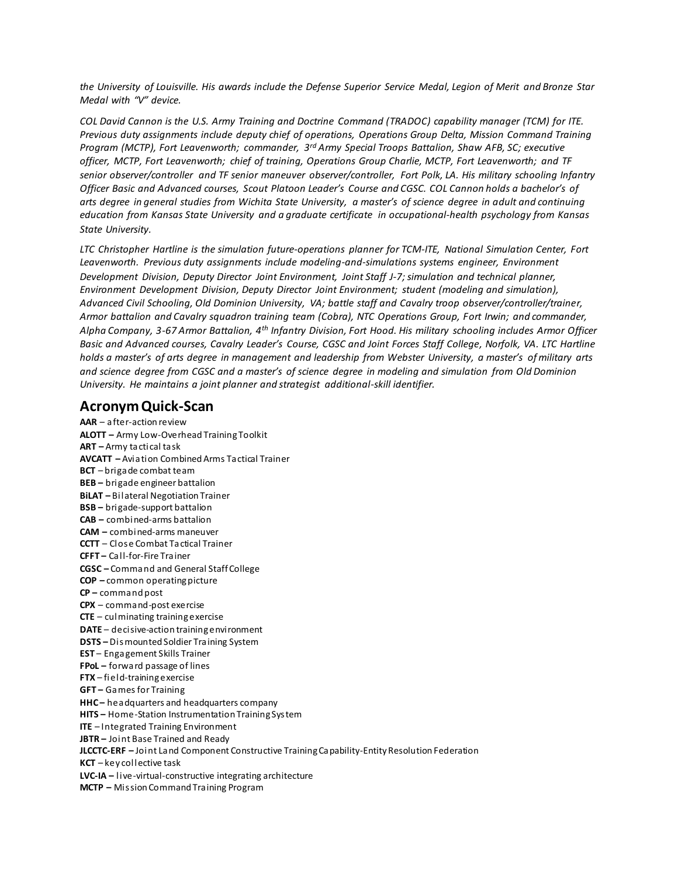*the University of Louisville. His awards include the Defense Superior Service Medal, Legion of Merit and Bronze Star Medal with "V" device.*

*COL David Cannon is the U.S. Army Training and Doctrine Command (TRADOC) capability manager (TCM) for ITE. Previous duty assignments include deputy chief of operations, Operations Group Delta, Mission Command Training Program (MCTP), Fort Leavenworth; commander, 3rd Army Special Troops Battalion, Shaw AFB, SC; executive officer, MCTP, Fort Leavenworth; chief of training, Operations Group Charlie, MCTP, Fort Leavenworth; and TF senior observer/controller and TF senior maneuver observer/controller, Fort Polk, LA. His military schooling Infantry Officer Basic and Advanced courses, Scout Platoon Leader's Course and CGSC. COL Cannon holds a bachelor's of arts degree in general studies from Wichita State University, a master's of science degree in adult and continuing education from Kansas State University and a graduate certificate in occupational-health psychology from Kansas State University.*

*LTC Christopher Hartline is the simulation future-operations planner for TCM-ITE, National Simulation Center, Fort Leavenworth. Previous duty assignments include modeling-and-simulations systems engineer, Environment Development Division, Deputy Director Joint Environment, Joint Staff J-7; simulation and technical planner, Environment Development Division, Deputy Director Joint Environment; student (modeling and simulation), Advanced Civil Schooling, Old Dominion University, VA; battle staff and Cavalry troop observer/controller/trainer, Armor battalion and Cavalry squadron training team (Cobra), NTC Operations Group, Fort Irwin; and commander, Alpha Company, 3-67 Armor Battalion, 4th Infantry Division, Fort Hood. His military schooling includes Armor Officer Basic and Advanced courses, Cavalry Leader's Course, CGSC and Joint Forces Staff College, Norfolk, VA. LTC Hartline holds a master's of arts degree in management and leadership from Webster University, a master's of military arts and science degree from CGSC and a master's of science degree in modeling and simulation from Old Dominion University. He maintains a joint planner and strategist additional-skill identifier.*

#### **Acronym Quick-Scan**

**AAR** – after-action review **ALOTT –** Army Low-Overhead Training Toolkit **ART –** Army tactical task **AVCATT –** Aviation Combined Arms Tactical Trainer **BCT** – brigade combat team **BEB –** brigade engineer battalion **BiLAT –** Bilateral Negotiation Trainer **BSB –** brigade-support battalion **CAB –** combined-arms battalion **CAM –** combined-arms maneuver **CCTT** – Close Combat Tactical Trainer **CFFT –** Call-for-Fire Trainer **CGSC –** Command and General Staff College **COP –** common operating picture **CP –** command post **CPX** – command-post exercise **CTE** – culminating training exercise **DATE** – decisive-action training environment **DSTS –** Dismounted Soldier Training System **EST** – Engagement Skills Trainer **FPoL –** forward passage of lines **FTX** – field-training exercise **GFT –** Games for Training **HHC** – headquarters and headquarters company **HITS –** Home-Station Instrumentation Training System **ITE** – Integrated Training Environment **JBTR –** Joint Base Trained and Ready **JLCCTC-ERF –** Joint Land Component Constructive Training Capability-Entity Resolution Federation **KCT** – key collective task **LVC-IA –** live-virtual-constructive integrating architecture **MCTP –** Mission Command Training Program